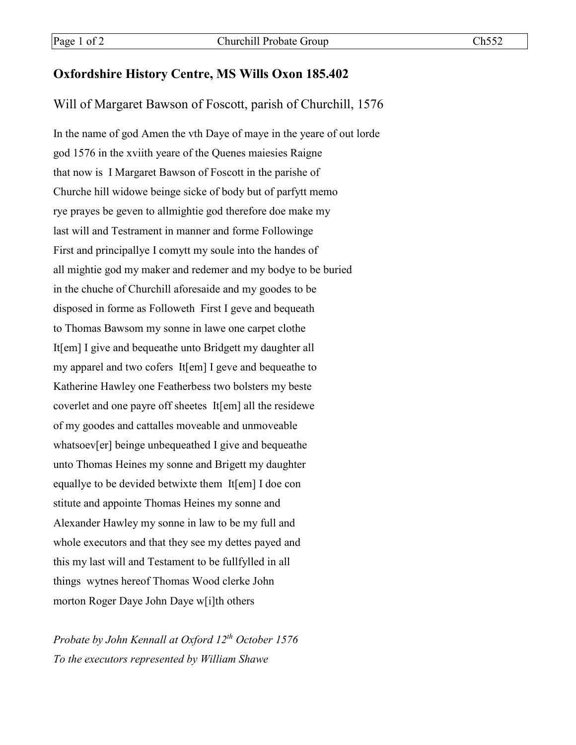## **Oxfordshire History Centre, MS Wills Oxon 185.402**

## Will of Margaret Bawson of Foscott, parish of Churchill, 1576

In the name of god Amen the vth Daye of maye in the yeare of out lorde god 1576 in the xviith yeare of the Quenes maiesies Raigne that now is I Margaret Bawson of Foscott in the parishe of Churche hill widowe beinge sicke of body but of parfytt memo rye prayes be geven to allmightie god therefore doe make my last will and Testrament in manner and forme Followinge First and principallye I comytt my soule into the handes of all mightie god my maker and redemer and my bodye to be buried in the chuche of Churchill aforesaide and my goodes to be disposed in forme as Followeth First I geve and bequeath to Thomas Bawsom my sonne in lawe one carpet clothe It[em] I give and bequeathe unto Bridgett my daughter all my apparel and two cofers It[em] I geve and bequeathe to Katherine Hawley one Featherbess two bolsters my beste coverlet and one payre off sheetes It[em] all the residewe of my goodes and cattalles moveable and unmoveable whatsoev[er] beinge unbequeathed I give and bequeathe unto Thomas Heines my sonne and Brigett my daughter equallye to be devided betwixte them It[em] I doe con stitute and appointe Thomas Heines my sonne and Alexander Hawley my sonne in law to be my full and whole executors and that they see my dettes payed and this my last will and Testament to be fullfylled in all things wytnes hereof Thomas Wood clerke John morton Roger Daye John Daye w[i]th others

*Probate by John Kennall at Oxford 12th October 1576 To the executors represented by William Shawe*